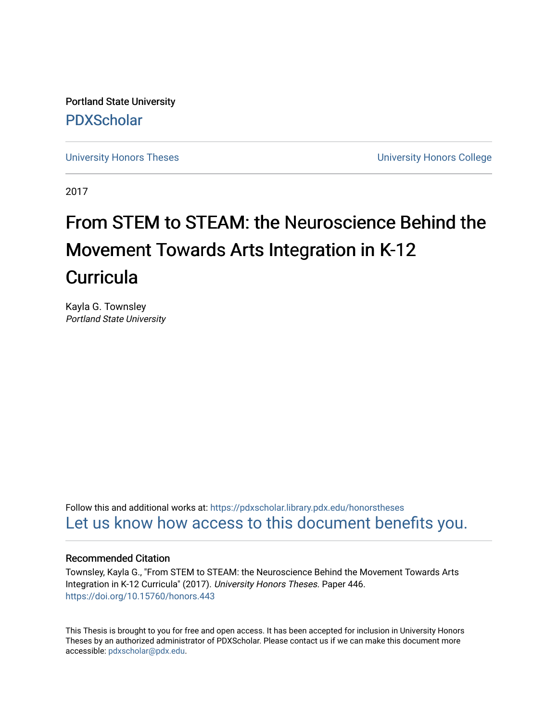Portland State University [PDXScholar](https://pdxscholar.library.pdx.edu/)

[University Honors Theses](https://pdxscholar.library.pdx.edu/honorstheses) [University Honors College](https://pdxscholar.library.pdx.edu/honors) 

2017

# From STEM to STEAM: the Neuroscience Behind the Movement Towards Arts Integration in K-12 **Curricula**

Kayla G. Townsley Portland State University

Follow this and additional works at: [https://pdxscholar.library.pdx.edu/honorstheses](https://pdxscholar.library.pdx.edu/honorstheses?utm_source=pdxscholar.library.pdx.edu%2Fhonorstheses%2F446&utm_medium=PDF&utm_campaign=PDFCoverPages)  [Let us know how access to this document benefits you.](http://library.pdx.edu/services/pdxscholar-services/pdxscholar-feedback/) 

# Recommended Citation

Townsley, Kayla G., "From STEM to STEAM: the Neuroscience Behind the Movement Towards Arts Integration in K-12 Curricula" (2017). University Honors Theses. Paper 446. <https://doi.org/10.15760/honors.443>

This Thesis is brought to you for free and open access. It has been accepted for inclusion in University Honors Theses by an authorized administrator of PDXScholar. Please contact us if we can make this document more accessible: [pdxscholar@pdx.edu.](mailto:pdxscholar@pdx.edu)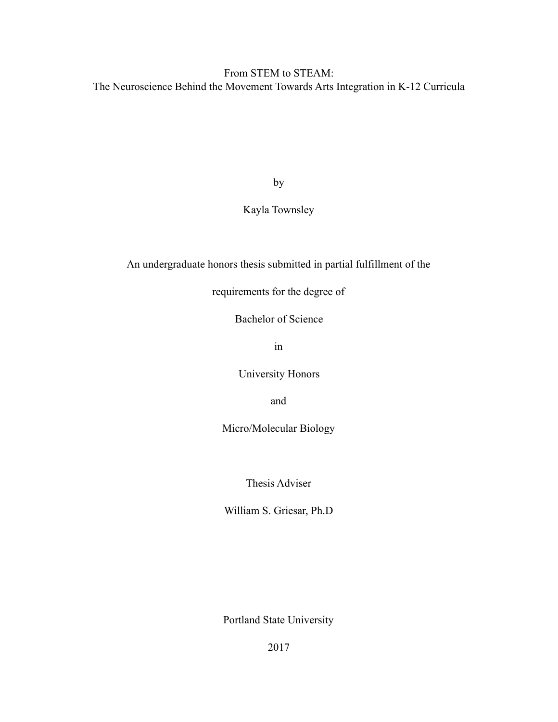# From STEM to STEAM: The Neuroscience Behind the Movement Towards Arts Integration in K-12 Curricula

by

# Kayla Townsley

# An undergraduate honors thesis submitted in partial fulfillment of the

requirements for the degree of

Bachelor of Science

in

University Honors

and

Micro/Molecular Biology

Thesis Adviser

William S. Griesar, Ph.D

Portland State University

2017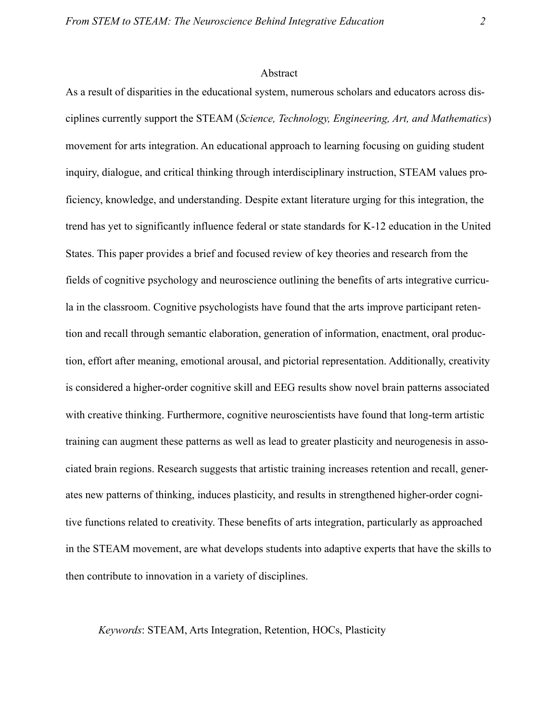#### <span id="page-2-0"></span>Abstract

As a result of disparities in the educational system, numerous scholars and educators across disciplines currently support the STEAM (*Science, Technology, Engineering, Art, and Mathematics*) movement for arts integration. An educational approach to learning focusing on guiding student inquiry, dialogue, and critical thinking through interdisciplinary instruction, STEAM values proficiency, knowledge, and understanding. Despite extant literature urging for this integration, the trend has yet to significantly influence federal or state standards for K-12 education in the United States. This paper provides a brief and focused review of key theories and research from the fields of cognitive psychology and neuroscience outlining the benefits of arts integrative curricula in the classroom. Cognitive psychologists have found that the arts improve participant retention and recall through semantic elaboration, generation of information, enactment, oral production, effort after meaning, emotional arousal, and pictorial representation. Additionally, creativity is considered a higher-order cognitive skill and EEG results show novel brain patterns associated with creative thinking. Furthermore, cognitive neuroscientists have found that long-term artistic training can augment these patterns as well as lead to greater plasticity and neurogenesis in associated brain regions. Research suggests that artistic training increases retention and recall, generates new patterns of thinking, induces plasticity, and results in strengthened higher-order cognitive functions related to creativity. These benefits of arts integration, particularly as approached in the STEAM movement, are what develops students into adaptive experts that have the skills to then contribute to innovation in a variety of disciplines.

*Keywords*: STEAM, Arts Integration, Retention, HOCs, Plasticity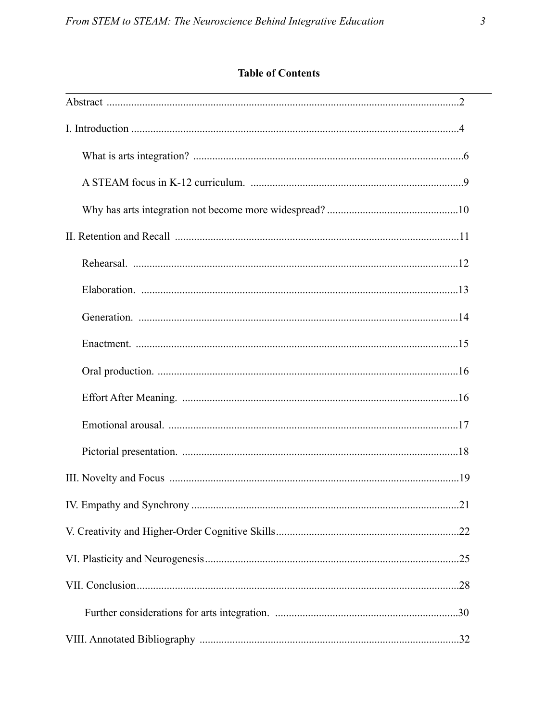# **Table of Contents**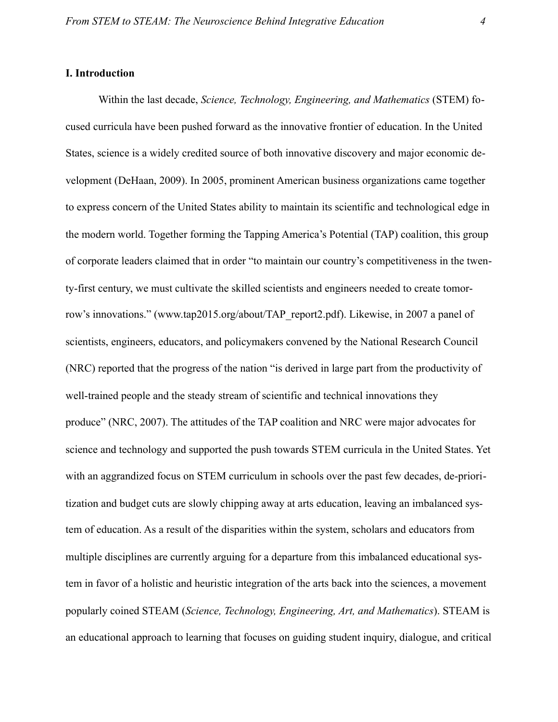# <span id="page-4-0"></span>**I. Introduction**

 Within the last decade, *Science, Technology, Engineering, and Mathematics* (STEM) focused curricula have been pushed forward as the innovative frontier of education. In the United States, science is a widely credited source of both innovative discovery and major economic development (DeHaan, 2009). In 2005, prominent American business organizations came together to express concern of the United States ability to maintain its scientific and technological edge in the modern world. Together forming the Tapping America's Potential (TAP) coalition, this group of corporate leaders claimed that in order "to maintain our country's competitiveness in the twenty-first century, we must cultivate the skilled scientists and engineers needed to create tomorrow's innovations." (www.tap2015.org/about/TAP\_report2.pdf). Likewise, in 2007 a panel of scientists, engineers, educators, and policymakers convened by the National Research Council (NRC) reported that the progress of the nation "is derived in large part from the productivity of well-trained people and the steady stream of scientific and technical innovations they produce" (NRC, 2007). The attitudes of the TAP coalition and NRC were major advocates for science and technology and supported the push towards STEM curricula in the United States. Yet with an aggrandized focus on STEM curriculum in schools over the past few decades, de-prioritization and budget cuts are slowly chipping away at arts education, leaving an imbalanced system of education. As a result of the disparities within the system, scholars and educators from multiple disciplines are currently arguing for a departure from this imbalanced educational system in favor of a holistic and heuristic integration of the arts back into the sciences, a movement popularly coined STEAM (*Science, Technology, Engineering, Art, and Mathematics*). STEAM is an educational approach to learning that focuses on guiding student inquiry, dialogue, and critical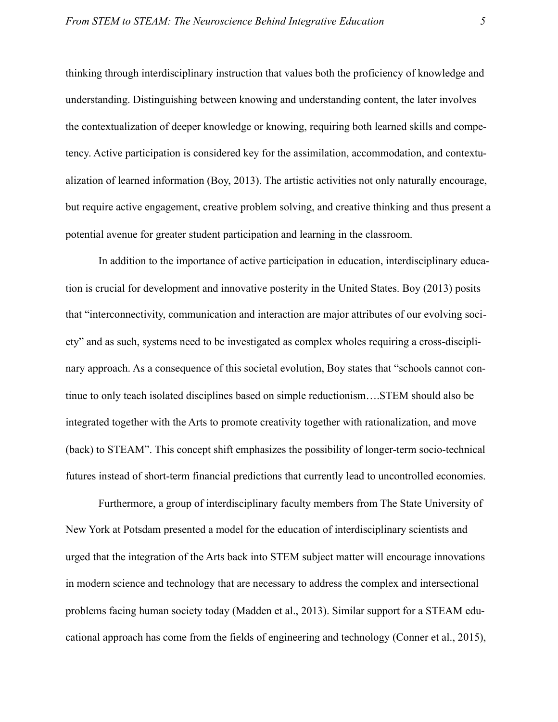thinking through interdisciplinary instruction that values both the proficiency of knowledge and understanding. Distinguishing between knowing and understanding content, the later involves the contextualization of deeper knowledge or knowing, requiring both learned skills and competency. Active participation is considered key for the assimilation, accommodation, and contextualization of learned information (Boy, 2013). The artistic activities not only naturally encourage, but require active engagement, creative problem solving, and creative thinking and thus present a potential avenue for greater student participation and learning in the classroom.

 In addition to the importance of active participation in education, interdisciplinary education is crucial for development and innovative posterity in the United States. Boy (2013) posits that "interconnectivity, communication and interaction are major attributes of our evolving society" and as such, systems need to be investigated as complex wholes requiring a cross-disciplinary approach. As a consequence of this societal evolution, Boy states that "schools cannot continue to only teach isolated disciplines based on simple reductionism….STEM should also be integrated together with the Arts to promote creativity together with rationalization, and move (back) to STEAM". This concept shift emphasizes the possibility of longer-term socio-technical futures instead of short-term financial predictions that currently lead to uncontrolled economies.

Furthermore, a group of interdisciplinary faculty members from The State University of New York at Potsdam presented a model for the education of interdisciplinary scientists and urged that the integration of the Arts back into STEM subject matter will encourage innovations in modern science and technology that are necessary to address the complex and intersectional problems facing human society today (Madden et al., 2013). Similar support for a STEAM educational approach has come from the fields of engineering and technology (Conner et al., 2015),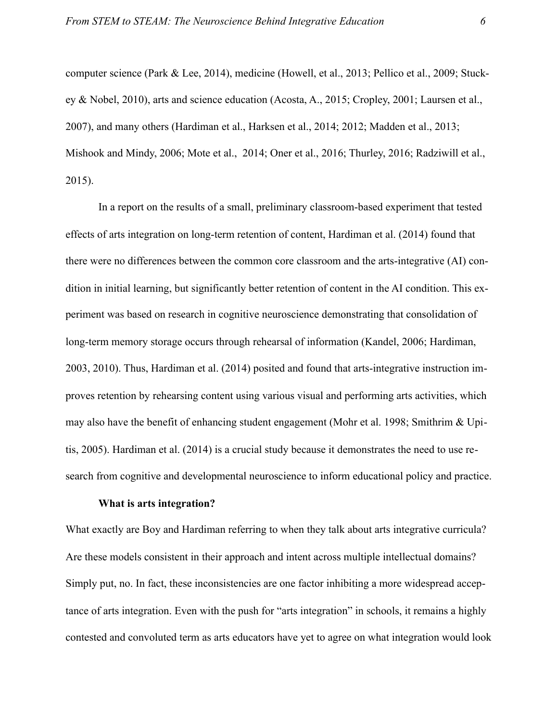computer science (Park & Lee, 2014), medicine (Howell, et al., 2013; Pellico et al., 2009; Stuckey & Nobel, 2010), arts and science education (Acosta, A., 2015; Cropley, 2001; Laursen et al., 2007), and many others (Hardiman et al., Harksen et al., 2014; 2012; Madden et al., 2013; Mishook and Mindy, 2006; Mote et al., 2014; Oner et al., 2016; Thurley, 2016; Radziwill et al., 2015).

 In a report on the results of a small, preliminary classroom-based experiment that tested effects of arts integration on long-term retention of content, Hardiman et al. (2014) found that there were no differences between the common core classroom and the arts-integrative (AI) condition in initial learning, but significantly better retention of content in the AI condition. This experiment was based on research in cognitive neuroscience demonstrating that consolidation of long-term memory storage occurs through rehearsal of information (Kandel, 2006; Hardiman, 2003, 2010). Thus, Hardiman et al. (2014) posited and found that arts-integrative instruction improves retention by rehearsing content using various visual and performing arts activities, which may also have the benefit of enhancing student engagement (Mohr et al. 1998; Smithrim & Upitis, 2005). Hardiman et al. (2014) is a crucial study because it demonstrates the need to use research from cognitive and developmental neuroscience to inform educational policy and practice.

#### <span id="page-6-0"></span>**What is arts integration?**

What exactly are Boy and Hardiman referring to when they talk about arts integrative curricula? Are these models consistent in their approach and intent across multiple intellectual domains? Simply put, no. In fact, these inconsistencies are one factor inhibiting a more widespread acceptance of arts integration. Even with the push for "arts integration" in schools, it remains a highly contested and convoluted term as arts educators have yet to agree on what integration would look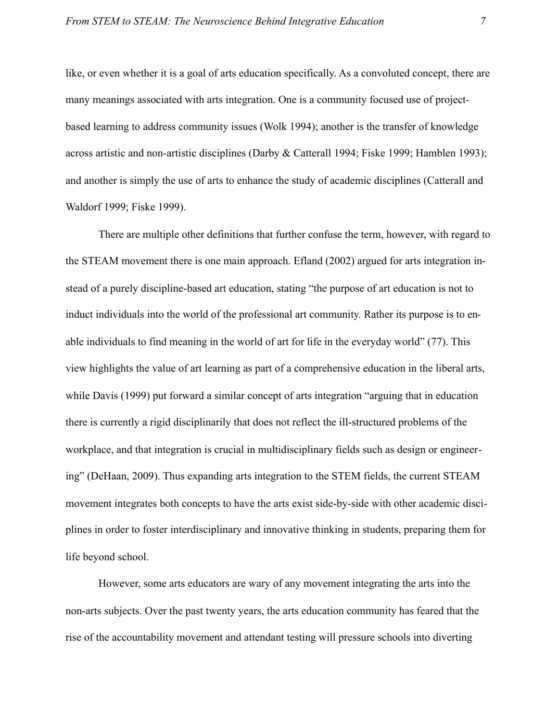like, or even whether it is a goal of arts education specifically. As a convoluted concept, there are many meanings associated with arts integration. One is a community focused use of projectbased learning to address community issues (Wolk 1994); another is the transfer of knowledge across artistic and non-artistic disciplines (Darby & Catterall 1994; Fiske 1999; Hamblen 1993); and another is simply the use of arts to enhance the study of academic disciplines (Catterall and Waldorf 1999; Fiske 1999).

 There are multiple other definitions that further confuse the term, however, with regard to the STEAM movement there is one main approach. Efland (2002) argued for arts integration instead of a purely discipline-based art education, stating "the purpose of art education is not to induct individuals into the world of the professional art community. Rather its purpose is to enable individuals to find meaning in the world of art for life in the everyday world" (77). This view highlights the value of art learning as part of a comprehensive education in the liberal arts, while Davis (1999) put forward a similar concept of arts integration "arguing that in education there is currently a rigid disciplinarily that does not reflect the ill-structured problems of the workplace, and that integration is crucial in multidisciplinary fields such as design or engineering" (DeHaan, 2009). Thus expanding arts integration to the STEM fields, the current STEAM movement integrates both concepts to have the arts exist side-by-side with other academic disciplines in order to foster interdisciplinary and innovative thinking in students, preparing them for life beyond school.

 However, some arts educators are wary of any movement integrating the arts into the non-arts subjects. Over the past twenty years, the arts education community has feared that the rise of the accountability movement and attendant testing will pressure schools into diverting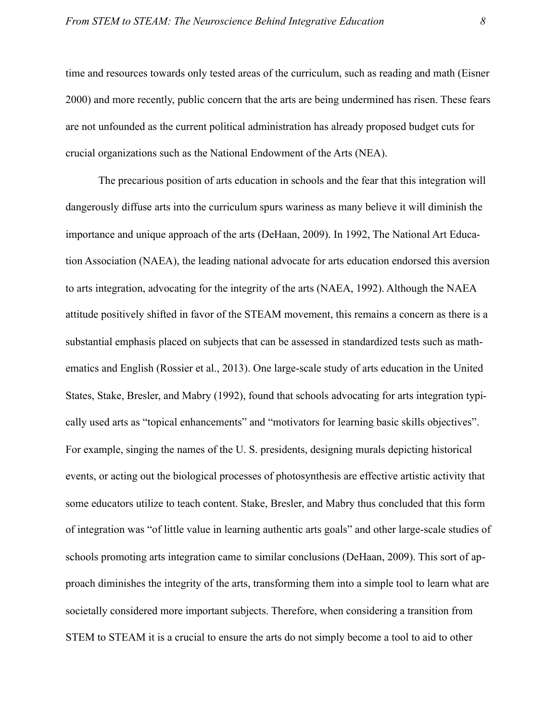time and resources towards only tested areas of the curriculum, such as reading and math (Eisner 2000) and more recently, public concern that the arts are being undermined has risen. These fears are not unfounded as the current political administration has already proposed budget cuts for crucial organizations such as the National Endowment of the Arts (NEA).

 The precarious position of arts education in schools and the fear that this integration will dangerously diffuse arts into the curriculum spurs wariness as many believe it will diminish the importance and unique approach of the arts (DeHaan, 2009). In 1992, The National Art Education Association (NAEA), the leading national advocate for arts education endorsed this aversion to arts integration, advocating for the integrity of the arts (NAEA, 1992). Although the NAEA attitude positively shifted in favor of the STEAM movement, this remains a concern as there is a substantial emphasis placed on subjects that can be assessed in standardized tests such as mathematics and English (Rossier et al., 2013). One large-scale study of arts education in the United States, Stake, Bresler, and Mabry (1992), found that schools advocating for arts integration typically used arts as "topical enhancements" and "motivators for learning basic skills objectives". For example, singing the names of the U. S. presidents, designing murals depicting historical events, or acting out the biological processes of photosynthesis are effective artistic activity that some educators utilize to teach content. Stake, Bresler, and Mabry thus concluded that this form of integration was "of little value in learning authentic arts goals" and other large-scale studies of schools promoting arts integration came to similar conclusions (DeHaan, 2009). This sort of approach diminishes the integrity of the arts, transforming them into a simple tool to learn what are societally considered more important subjects. Therefore, when considering a transition from STEM to STEAM it is a crucial to ensure the arts do not simply become a tool to aid to other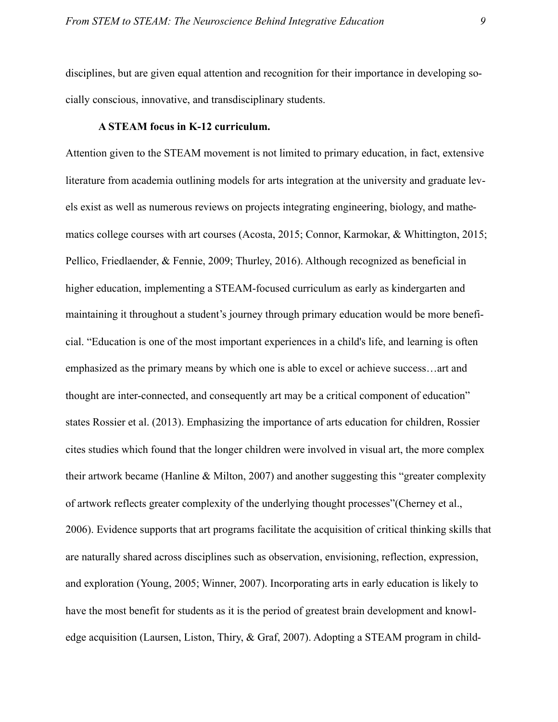disciplines, but are given equal attention and recognition for their importance in developing socially conscious, innovative, and transdisciplinary students.

# <span id="page-9-0"></span>**A STEAM focus in K-12 curriculum.**

Attention given to the STEAM movement is not limited to primary education, in fact, extensive literature from academia outlining models for arts integration at the university and graduate levels exist as well as numerous reviews on projects integrating engineering, biology, and mathematics college courses with art courses (Acosta, 2015; Connor, Karmokar, & Whittington, 2015; Pellico, Friedlaender, & Fennie, 2009; Thurley, 2016). Although recognized as beneficial in higher education, implementing a STEAM-focused curriculum as early as kindergarten and maintaining it throughout a student's journey through primary education would be more beneficial. "Education is one of the most important experiences in a child's life, and learning is often emphasized as the primary means by which one is able to excel or achieve success…art and thought are inter-connected, and consequently art may be a critical component of education" states Rossier et al. (2013). Emphasizing the importance of arts education for children, Rossier cites studies which found that the longer children were involved in visual art, the more complex their artwork became (Hanline & Milton, 2007) and another suggesting this "greater complexity of artwork reflects greater complexity of the underlying thought processes"(Cherney et al., 2006). Evidence supports that art programs facilitate the acquisition of critical thinking skills that are naturally shared across disciplines such as observation, envisioning, reflection, expression, and exploration (Young, 2005; Winner, 2007). Incorporating arts in early education is likely to have the most benefit for students as it is the period of greatest brain development and knowledge acquisition (Laursen, Liston, Thiry, & Graf, 2007). Adopting a STEAM program in child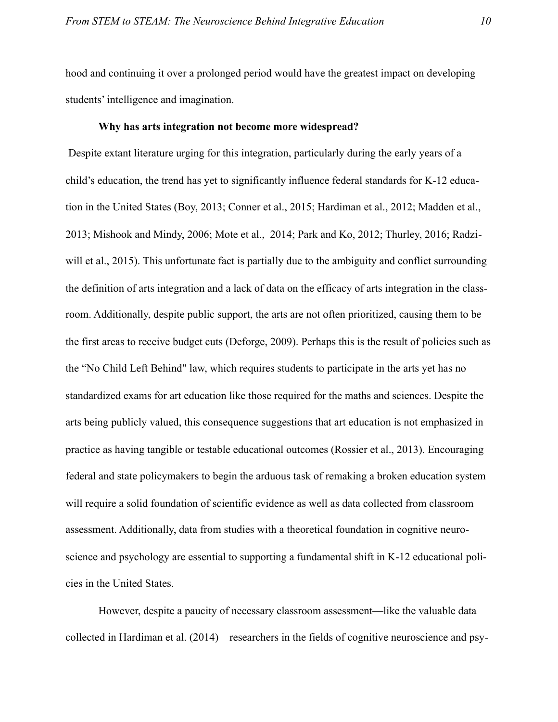hood and continuing it over a prolonged period would have the greatest impact on developing students' intelligence and imagination.

# <span id="page-10-0"></span>**Why has arts integration not become more widespread?**

Despite extant literature urging for this integration, particularly during the early years of a child's education, the trend has yet to significantly influence federal standards for K-12 education in the United States (Boy, 2013; Conner et al., 2015; Hardiman et al., 2012; Madden et al., 2013; Mishook and Mindy, 2006; Mote et al., 2014; Park and Ko, 2012; Thurley, 2016; Radziwill et al., 2015). This unfortunate fact is partially due to the ambiguity and conflict surrounding the definition of arts integration and a lack of data on the efficacy of arts integration in the classroom. Additionally, despite public support, the arts are not often prioritized, causing them to be the first areas to receive budget cuts (Deforge, 2009). Perhaps this is the result of policies such as the "No Child Left Behind" law, which requires students to participate in the arts yet has no standardized exams for art education like those required for the maths and sciences. Despite the arts being publicly valued, this consequence suggestions that art education is not emphasized in practice as having tangible or testable educational outcomes (Rossier et al., 2013). Encouraging federal and state policymakers to begin the arduous task of remaking a broken education system will require a solid foundation of scientific evidence as well as data collected from classroom assessment. Additionally, data from studies with a theoretical foundation in cognitive neuroscience and psychology are essential to supporting a fundamental shift in K-12 educational policies in the United States.

 However, despite a paucity of necessary classroom assessment—like the valuable data collected in Hardiman et al. (2014)—researchers in the fields of cognitive neuroscience and psy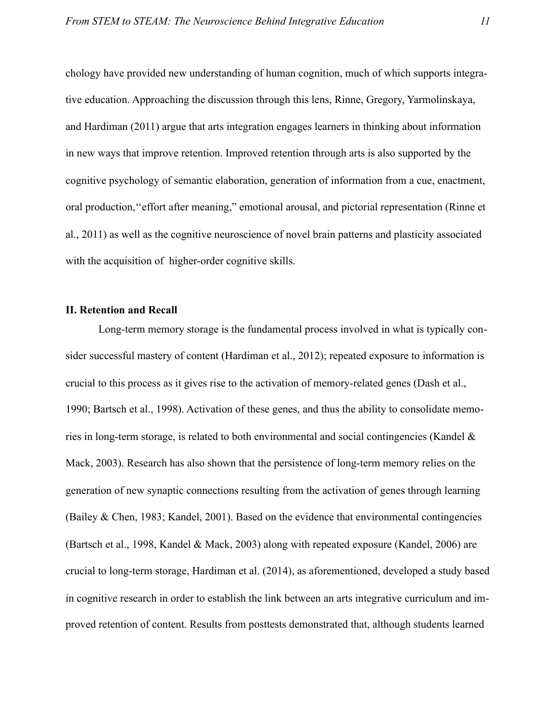chology have provided new understanding of human cognition, much of which supports integrative education. Approaching the discussion through this lens, Rinne, Gregory, Yarmolinskaya, and Hardiman (2011) argue that arts integration engages learners in thinking about information in new ways that improve retention. Improved retention through arts is also supported by the cognitive psychology of semantic elaboration, generation of information from a cue, enactment, oral production,''effort after meaning," emotional arousal, and pictorial representation (Rinne et al., 2011) as well as the cognitive neuroscience of novel brain patterns and plasticity associated with the acquisition of higher-order cognitive skills.

# <span id="page-11-0"></span>**II. Retention and Recall**

 Long-term memory storage is the fundamental process involved in what is typically consider successful mastery of content (Hardiman et al., 2012); repeated exposure to information is crucial to this process as it gives rise to the activation of memory-related genes (Dash et al., 1990; Bartsch et al., 1998). Activation of these genes, and thus the ability to consolidate memories in long-term storage, is related to both environmental and social contingencies (Kandel & Mack, 2003). Research has also shown that the persistence of long-term memory relies on the generation of new synaptic connections resulting from the activation of genes through learning (Bailey & Chen, 1983; Kandel, 2001). Based on the evidence that environmental contingencies (Bartsch et al., 1998, Kandel & Mack, 2003) along with repeated exposure (Kandel, 2006) are crucial to long-term storage, Hardiman et al. (2014), as aforementioned, developed a study based in cognitive research in order to establish the link between an arts integrative curriculum and improved retention of content. Results from posttests demonstrated that, although students learned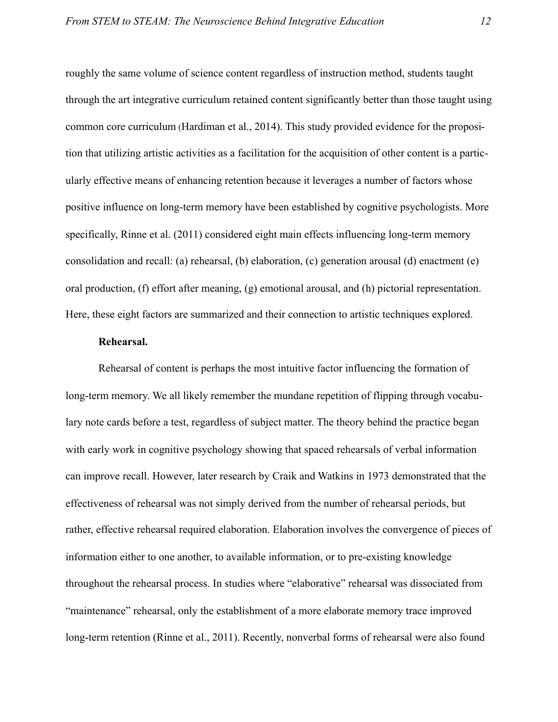roughly the same volume of science content regardless of instruction method, students taught through the art integrative curriculum retained content significantly better than those taught using common core curriculum (Hardiman et al., 2014). This study provided evidence for the proposition that utilizing artistic activities as a facilitation for the acquisition of other content is a particularly effective means of enhancing retention because it leverages a number of factors whose positive influence on long-term memory have been established by cognitive psychologists. More specifically, Rinne et al. (2011) considered eight main effects influencing long-term memory consolidation and recall: (a) rehearsal, (b) elaboration, (c) generation arousal (d) enactment (e) oral production, (f) effort after meaning, (g) emotional arousal, and (h) pictorial representation. Here, these eight factors are summarized and their connection to artistic techniques explored.

# <span id="page-12-0"></span>**Rehearsal.**

Rehearsal of content is perhaps the most intuitive factor influencing the formation of long-term memory. We all likely remember the mundane repetition of flipping through vocabulary note cards before a test, regardless of subject matter. The theory behind the practice began with early work in cognitive psychology showing that spaced rehearsals of verbal information can improve recall. However, later research by Craik and Watkins in 1973 demonstrated that the effectiveness of rehearsal was not simply derived from the number of rehearsal periods, but rather, effective rehearsal required elaboration. Elaboration involves the convergence of pieces of information either to one another, to available information, or to pre-existing knowledge throughout the rehearsal process. In studies where "elaborative" rehearsal was dissociated from "maintenance" rehearsal, only the establishment of a more elaborate memory trace improved long-term retention (Rinne et al., 2011). Recently, nonverbal forms of rehearsal were also found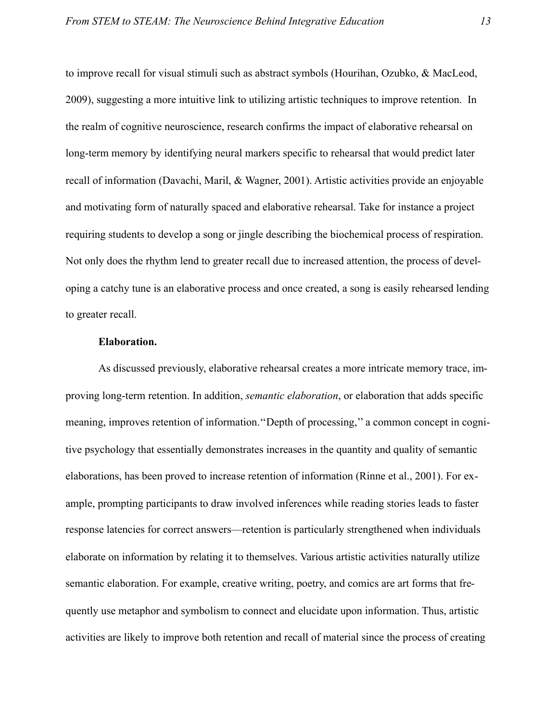to improve recall for visual stimuli such as abstract symbols (Hourihan, Ozubko, & MacLeod, 2009), suggesting a more intuitive link to utilizing artistic techniques to improve retention. In the realm of cognitive neuroscience, research confirms the impact of elaborative rehearsal on long-term memory by identifying neural markers specific to rehearsal that would predict later recall of information (Davachi, Maril, & Wagner, 2001). Artistic activities provide an enjoyable and motivating form of naturally spaced and elaborative rehearsal. Take for instance a project requiring students to develop a song or jingle describing the biochemical process of respiration. Not only does the rhythm lend to greater recall due to increased attention, the process of developing a catchy tune is an elaborative process and once created, a song is easily rehearsed lending to greater recall.

# <span id="page-13-0"></span>**Elaboration.**

As discussed previously, elaborative rehearsal creates a more intricate memory trace, improving long-term retention. In addition, *semantic elaboration*, or elaboration that adds specific meaning, improves retention of information.''Depth of processing,'' a common concept in cognitive psychology that essentially demonstrates increases in the quantity and quality of semantic elaborations, has been proved to increase retention of information (Rinne et al., 2001). For example, prompting participants to draw involved inferences while reading stories leads to faster response latencies for correct answers—retention is particularly strengthened when individuals elaborate on information by relating it to themselves. Various artistic activities naturally utilize semantic elaboration. For example, creative writing, poetry, and comics are art forms that frequently use metaphor and symbolism to connect and elucidate upon information. Thus, artistic activities are likely to improve both retention and recall of material since the process of creating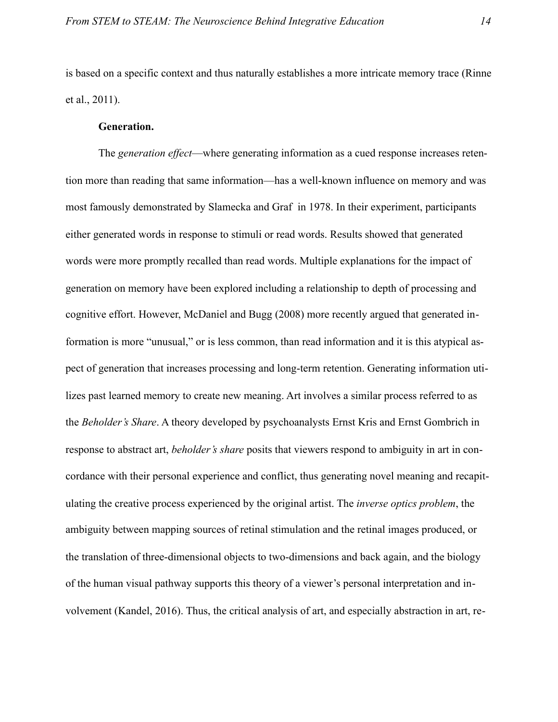is based on a specific context and thus naturally establishes a more intricate memory trace (Rinne et al., 2011).

# <span id="page-14-0"></span>**Generation.**

The *generation effect*—where generating information as a cued response increases retention more than reading that same information—has a well-known influence on memory and was most famously demonstrated by Slamecka and Graf in 1978. In their experiment, participants either generated words in response to stimuli or read words. Results showed that generated words were more promptly recalled than read words. Multiple explanations for the impact of generation on memory have been explored including a relationship to depth of processing and cognitive effort. However, McDaniel and Bugg (2008) more recently argued that generated information is more "unusual," or is less common, than read information and it is this atypical aspect of generation that increases processing and long-term retention. Generating information utilizes past learned memory to create new meaning. Art involves a similar process referred to as the *Beholder's Share*. A theory developed by psychoanalysts Ernst Kris and Ernst Gombrich in response to abstract art, *beholder's share* posits that viewers respond to ambiguity in art in concordance with their personal experience and conflict, thus generating novel meaning and recapitulating the creative process experienced by the original artist. The *inverse optics problem*, the ambiguity between mapping sources of retinal stimulation and the retinal images produced, or the translation of three-dimensional objects to two-dimensions and back again, and the biology of the human visual pathway supports this theory of a viewer's personal interpretation and involvement (Kandel, 2016). Thus, the critical analysis of art, and especially abstraction in art, re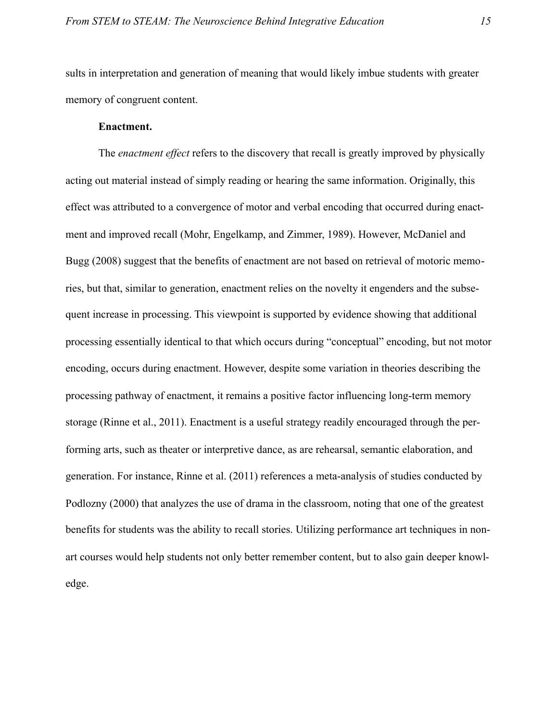sults in interpretation and generation of meaning that would likely imbue students with greater memory of congruent content.

# <span id="page-15-0"></span>**Enactment.**

The *enactment effect* refers to the discovery that recall is greatly improved by physically acting out material instead of simply reading or hearing the same information. Originally, this effect was attributed to a convergence of motor and verbal encoding that occurred during enactment and improved recall (Mohr, Engelkamp, and Zimmer, 1989). However, McDaniel and Bugg (2008) suggest that the benefits of enactment are not based on retrieval of motoric memories, but that, similar to generation, enactment relies on the novelty it engenders and the subsequent increase in processing. This viewpoint is supported by evidence showing that additional processing essentially identical to that which occurs during "conceptual" encoding, but not motor encoding, occurs during enactment. However, despite some variation in theories describing the processing pathway of enactment, it remains a positive factor influencing long-term memory storage (Rinne et al., 2011). Enactment is a useful strategy readily encouraged through the performing arts, such as theater or interpretive dance, as are rehearsal, semantic elaboration, and generation. For instance, Rinne et al. (2011) references a meta-analysis of studies conducted by Podlozny (2000) that analyzes the use of drama in the classroom, noting that one of the greatest benefits for students was the ability to recall stories. Utilizing performance art techniques in nonart courses would help students not only better remember content, but to also gain deeper knowledge.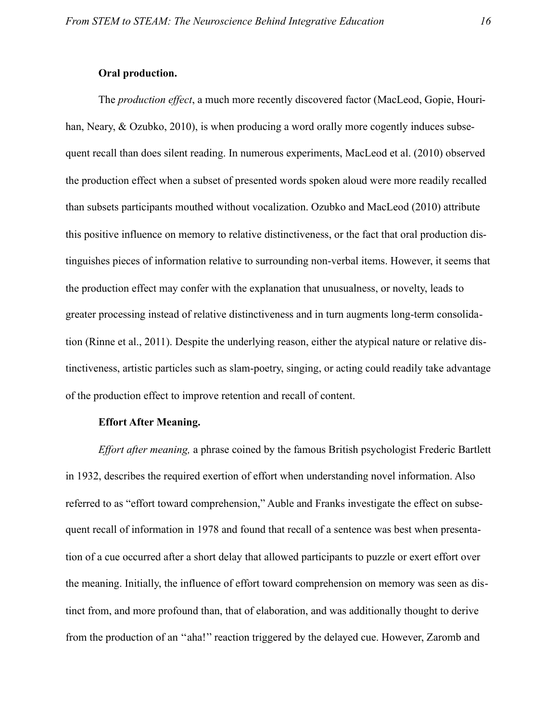# <span id="page-16-0"></span>**Oral production.**

The *production effect*, a much more recently discovered factor (MacLeod, Gopie, Hourihan, Neary, & Ozubko, 2010), is when producing a word orally more cogently induces subsequent recall than does silent reading. In numerous experiments, MacLeod et al. (2010) observed the production effect when a subset of presented words spoken aloud were more readily recalled than subsets participants mouthed without vocalization. Ozubko and MacLeod (2010) attribute this positive influence on memory to relative distinctiveness, or the fact that oral production distinguishes pieces of information relative to surrounding non-verbal items. However, it seems that the production effect may confer with the explanation that unusualness, or novelty, leads to greater processing instead of relative distinctiveness and in turn augments long-term consolidation (Rinne et al., 2011). Despite the underlying reason, either the atypical nature or relative distinctiveness, artistic particles such as slam-poetry, singing, or acting could readily take advantage of the production effect to improve retention and recall of content.

### <span id="page-16-1"></span>**Effort After Meaning.**

*Effort after meaning,* a phrase coined by the famous British psychologist Frederic Bartlett in 1932, describes the required exertion of effort when understanding novel information. Also referred to as "effort toward comprehension," Auble and Franks investigate the effect on subsequent recall of information in 1978 and found that recall of a sentence was best when presentation of a cue occurred after a short delay that allowed participants to puzzle or exert effort over the meaning. Initially, the influence of effort toward comprehension on memory was seen as distinct from, and more profound than, that of elaboration, and was additionally thought to derive from the production of an ''aha!'' reaction triggered by the delayed cue. However, Zaromb and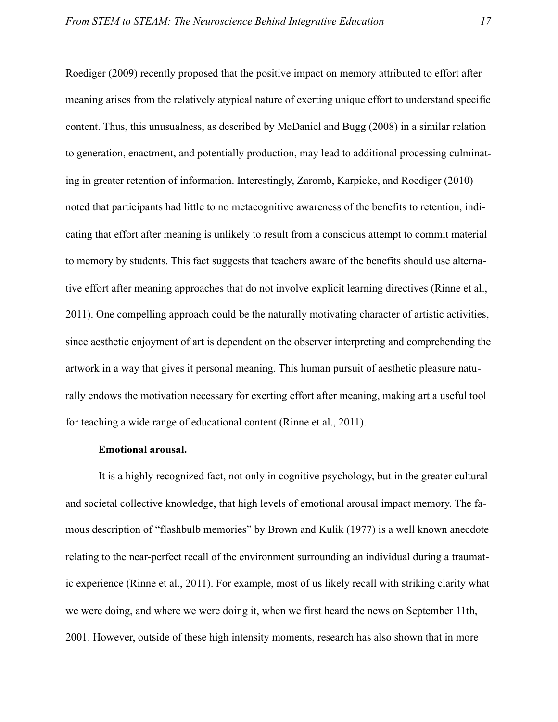Roediger (2009) recently proposed that the positive impact on memory attributed to effort after meaning arises from the relatively atypical nature of exerting unique effort to understand specific content. Thus, this unusualness, as described by McDaniel and Bugg (2008) in a similar relation to generation, enactment, and potentially production, may lead to additional processing culminating in greater retention of information. Interestingly, Zaromb, Karpicke, and Roediger (2010) noted that participants had little to no metacognitive awareness of the benefits to retention, indicating that effort after meaning is unlikely to result from a conscious attempt to commit material to memory by students. This fact suggests that teachers aware of the benefits should use alternative effort after meaning approaches that do not involve explicit learning directives (Rinne et al., 2011). One compelling approach could be the naturally motivating character of artistic activities, since aesthetic enjoyment of art is dependent on the observer interpreting and comprehending the artwork in a way that gives it personal meaning. This human pursuit of aesthetic pleasure naturally endows the motivation necessary for exerting effort after meaning, making art a useful tool for teaching a wide range of educational content (Rinne et al., 2011).

# <span id="page-17-0"></span>**Emotional arousal.**

It is a highly recognized fact, not only in cognitive psychology, but in the greater cultural and societal collective knowledge, that high levels of emotional arousal impact memory. The famous description of "flashbulb memories" by Brown and Kulik (1977) is a well known anecdote relating to the near-perfect recall of the environment surrounding an individual during a traumatic experience (Rinne et al., 2011). For example, most of us likely recall with striking clarity what we were doing, and where we were doing it, when we first heard the news on September 11th, 2001. However, outside of these high intensity moments, research has also shown that in more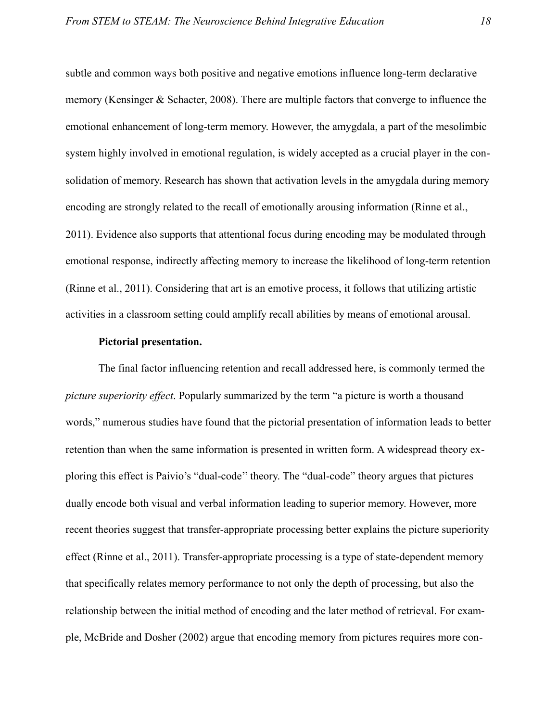subtle and common ways both positive and negative emotions influence long-term declarative memory (Kensinger & Schacter, 2008). There are multiple factors that converge to influence the emotional enhancement of long-term memory. However, the amygdala, a part of the mesolimbic system highly involved in emotional regulation, is widely accepted as a crucial player in the consolidation of memory. Research has shown that activation levels in the amygdala during memory encoding are strongly related to the recall of emotionally arousing information (Rinne et al., 2011). Evidence also supports that attentional focus during encoding may be modulated through emotional response, indirectly affecting memory to increase the likelihood of long-term retention (Rinne et al., 2011). Considering that art is an emotive process, it follows that utilizing artistic activities in a classroom setting could amplify recall abilities by means of emotional arousal.

#### <span id="page-18-0"></span>**Pictorial presentation.**

The final factor influencing retention and recall addressed here, is commonly termed the *picture superiority effect*. Popularly summarized by the term "a picture is worth a thousand words," numerous studies have found that the pictorial presentation of information leads to better retention than when the same information is presented in written form. A widespread theory exploring this effect is Paivio's "dual-code'' theory. The "dual-code" theory argues that pictures dually encode both visual and verbal information leading to superior memory. However, more recent theories suggest that transfer-appropriate processing better explains the picture superiority effect (Rinne et al., 2011). Transfer-appropriate processing is a type of state-dependent memory that specifically relates memory performance to not only the depth of processing, but also the relationship between the initial method of encoding and the later method of retrieval. For example, McBride and Dosher (2002) argue that encoding memory from pictures requires more con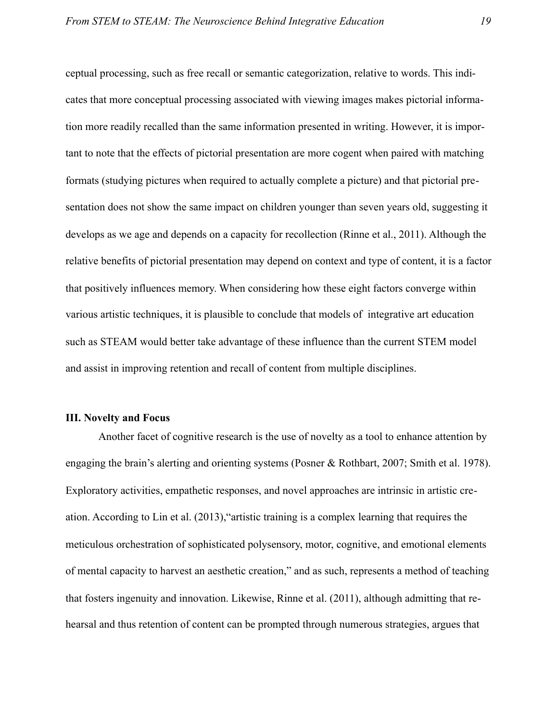ceptual processing, such as free recall or semantic categorization, relative to words. This indicates that more conceptual processing associated with viewing images makes pictorial information more readily recalled than the same information presented in writing. However, it is important to note that the effects of pictorial presentation are more cogent when paired with matching formats (studying pictures when required to actually complete a picture) and that pictorial presentation does not show the same impact on children younger than seven years old, suggesting it develops as we age and depends on a capacity for recollection (Rinne et al., 2011). Although the relative benefits of pictorial presentation may depend on context and type of content, it is a factor that positively influences memory. When considering how these eight factors converge within various artistic techniques, it is plausible to conclude that models of integrative art education such as STEAM would better take advantage of these influence than the current STEM model and assist in improving retention and recall of content from multiple disciplines.

# <span id="page-19-0"></span>**III. Novelty and Focus**

 Another facet of cognitive research is the use of novelty as a tool to enhance attention by engaging the brain's alerting and orienting systems (Posner & Rothbart, 2007; Smith et al. 1978). Exploratory activities, empathetic responses, and novel approaches are intrinsic in artistic creation. According to Lin et al. (2013),"artistic training is a complex learning that requires the meticulous orchestration of sophisticated polysensory, motor, cognitive, and emotional elements of mental capacity to harvest an aesthetic creation," and as such, represents a method of teaching that fosters ingenuity and innovation. Likewise, Rinne et al. (2011), although admitting that rehearsal and thus retention of content can be prompted through numerous strategies, argues that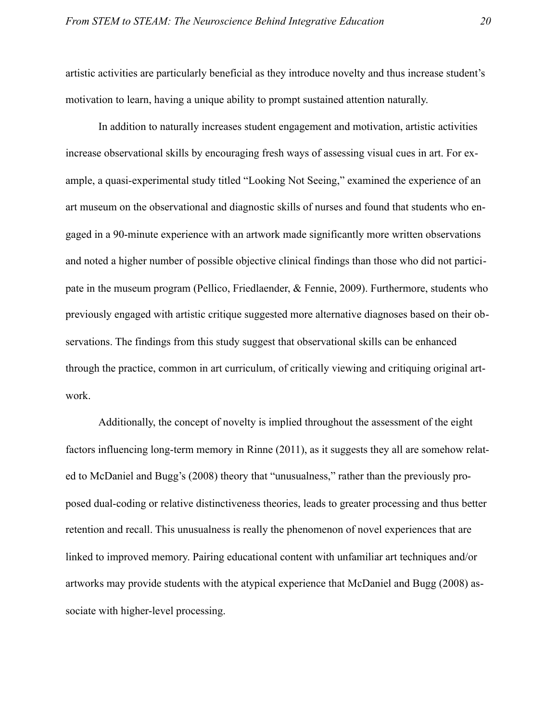artistic activities are particularly beneficial as they introduce novelty and thus increase student's motivation to learn, having a unique ability to prompt sustained attention naturally.

 In addition to naturally increases student engagement and motivation, artistic activities increase observational skills by encouraging fresh ways of assessing visual cues in art. For example, a quasi-experimental study titled "Looking Not Seeing," examined the experience of an art museum on the observational and diagnostic skills of nurses and found that students who engaged in a 90-minute experience with an artwork made significantly more written observations and noted a higher number of possible objective clinical findings than those who did not participate in the museum program (Pellico, Friedlaender, & Fennie, 2009). Furthermore, students who previously engaged with artistic critique suggested more alternative diagnoses based on their observations. The findings from this study suggest that observational skills can be enhanced through the practice, common in art curriculum, of critically viewing and critiquing original artwork.

Additionally, the concept of novelty is implied throughout the assessment of the eight factors influencing long-term memory in Rinne (2011), as it suggests they all are somehow related to McDaniel and Bugg's (2008) theory that "unusualness," rather than the previously proposed dual-coding or relative distinctiveness theories, leads to greater processing and thus better retention and recall. This unusualness is really the phenomenon of novel experiences that are linked to improved memory. Pairing educational content with unfamiliar art techniques and/or artworks may provide students with the atypical experience that McDaniel and Bugg (2008) associate with higher-level processing.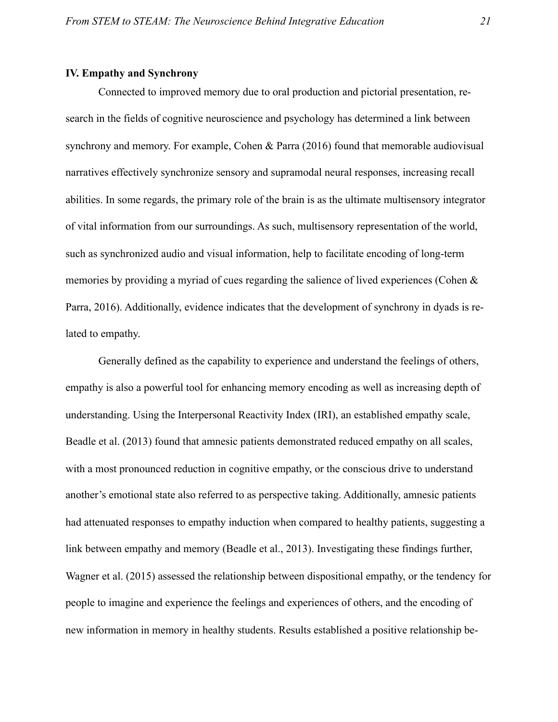# <span id="page-21-0"></span>**IV. Empathy and Synchrony**

 Connected to improved memory due to oral production and pictorial presentation, research in the fields of cognitive neuroscience and psychology has determined a link between synchrony and memory. For example, Cohen & Parra (2016) found that memorable audiovisual narratives effectively synchronize sensory and supramodal neural responses, increasing recall abilities. In some regards, the primary role of the brain is as the ultimate multisensory integrator of vital information from our surroundings. As such, multisensory representation of the world, such as synchronized audio and visual information, help to facilitate encoding of long-term memories by providing a myriad of cues regarding the salience of lived experiences (Cohen & Parra, 2016). Additionally, evidence indicates that the development of synchrony in dyads is related to empathy.

Generally defined as the capability to experience and understand the feelings of others, empathy is also a powerful tool for enhancing memory encoding as well as increasing depth of understanding. Using the Interpersonal Reactivity Index (IRI), an established empathy scale, Beadle et al. (2013) found that amnesic patients demonstrated reduced empathy on all scales, with a most pronounced reduction in cognitive empathy, or the conscious drive to understand another's emotional state also referred to as perspective taking. Additionally, amnesic patients had attenuated responses to empathy induction when compared to healthy patients, suggesting a link between empathy and memory (Beadle et al., 2013). Investigating these findings further, Wagner et al. (2015) assessed the relationship between dispositional empathy, or the tendency for people to imagine and experience the feelings and experiences of others, and the encoding of new information in memory in healthy students. Results established a positive relationship be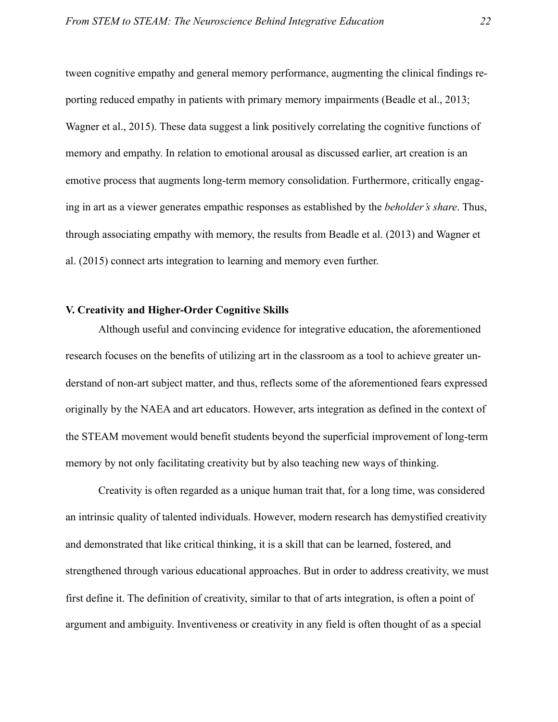tween cognitive empathy and general memory performance, augmenting the clinical findings reporting reduced empathy in patients with primary memory impairments (Beadle et al., 2013; Wagner et al., 2015). These data suggest a link positively correlating the cognitive functions of memory and empathy. In relation to emotional arousal as discussed earlier, art creation is an emotive process that augments long-term memory consolidation. Furthermore, critically engaging in art as a viewer generates empathic responses as established by the *beholder's share*. Thus, through associating empathy with memory, the results from Beadle et al. (2013) and Wagner et al. (2015) connect arts integration to learning and memory even further.

# <span id="page-22-0"></span>**V. Creativity and Higher-Order Cognitive Skills**

Although useful and convincing evidence for integrative education, the aforementioned research focuses on the benefits of utilizing art in the classroom as a tool to achieve greater understand of non-art subject matter, and thus, reflects some of the aforementioned fears expressed originally by the NAEA and art educators. However, arts integration as defined in the context of the STEAM movement would benefit students beyond the superficial improvement of long-term memory by not only facilitating creativity but by also teaching new ways of thinking.

 Creativity is often regarded as a unique human trait that, for a long time, was considered an intrinsic quality of talented individuals. However, modern research has demystified creativity and demonstrated that like critical thinking, it is a skill that can be learned, fostered, and strengthened through various educational approaches. But in order to address creativity, we must first define it. The definition of creativity, similar to that of arts integration, is often a point of argument and ambiguity. Inventiveness or creativity in any field is often thought of as a special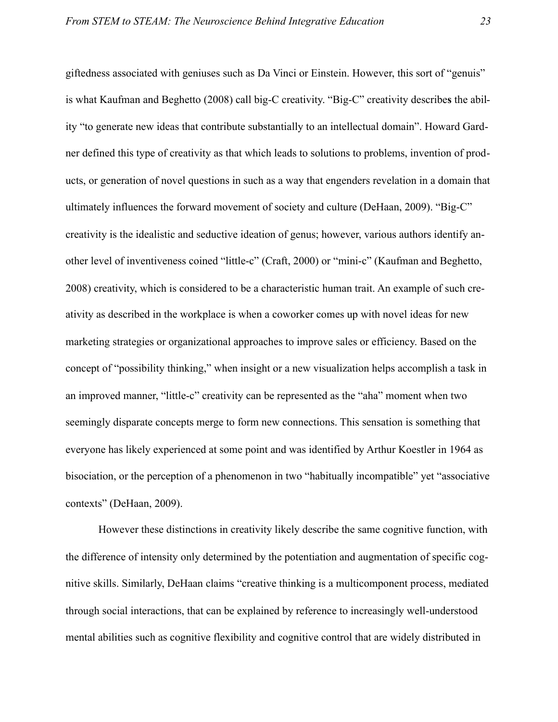giftedness associated with geniuses such as Da Vinci or Einstein. However, this sort of "genuis" is what Kaufman and Beghetto (2008) call big-C creativity. "Big-C" creativity describe**s** the ability "to generate new ideas that contribute substantially to an intellectual domain". Howard Gardner defined this type of creativity as that which leads to solutions to problems, invention of products, or generation of novel questions in such as a way that engenders revelation in a domain that ultimately influences the forward movement of society and culture (DeHaan, 2009). "Big-C" creativity is the idealistic and seductive ideation of genus; however, various authors identify another level of inventiveness coined "little-c" (Craft, 2000) or "mini-c" (Kaufman and Beghetto, 2008) creativity, which is considered to be a characteristic human trait. An example of such creativity as described in the workplace is when a coworker comes up with novel ideas for new marketing strategies or organizational approaches to improve sales or efficiency. Based on the concept of "possibility thinking," when insight or a new visualization helps accomplish a task in an improved manner, "little-c" creativity can be represented as the "aha" moment when two seemingly disparate concepts merge to form new connections. This sensation is something that everyone has likely experienced at some point and was identified by Arthur Koestler in 1964 as bisociation, or the perception of a phenomenon in two "habitually incompatible" yet "associative contexts" (DeHaan, 2009).

 However these distinctions in creativity likely describe the same cognitive function, with the difference of intensity only determined by the potentiation and augmentation of specific cognitive skills. Similarly, DeHaan claims "creative thinking is a multicomponent process, mediated through social interactions, that can be explained by reference to increasingly well-understood mental abilities such as cognitive flexibility and cognitive control that are widely distributed in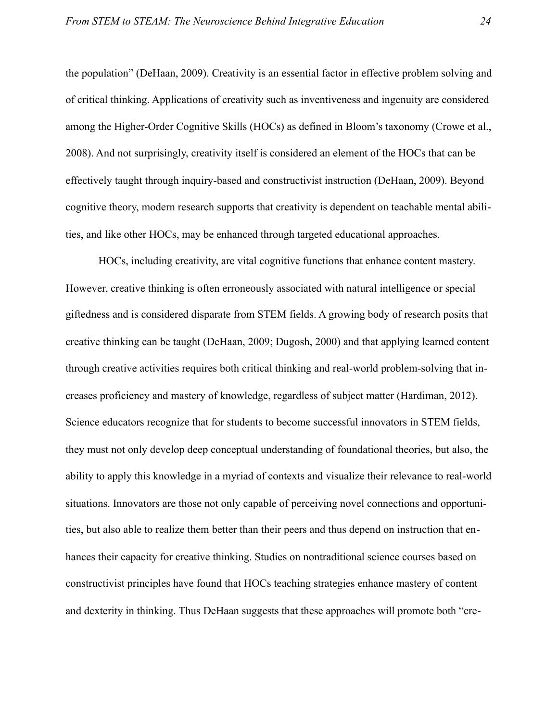the population" (DeHaan, 2009). Creativity is an essential factor in effective problem solving and of critical thinking. Applications of creativity such as inventiveness and ingenuity are considered among the Higher-Order Cognitive Skills (HOCs) as defined in Bloom's taxonomy (Crowe et al., 2008). And not surprisingly, creativity itself is considered an element of the HOCs that can be effectively taught through inquiry-based and constructivist instruction (DeHaan, 2009). Beyond cognitive theory, modern research supports that creativity is dependent on teachable mental abilities, and like other HOCs, may be enhanced through targeted educational approaches.

 HOCs, including creativity, are vital cognitive functions that enhance content mastery. However, creative thinking is often erroneously associated with natural intelligence or special giftedness and is considered disparate from STEM fields. A growing body of research posits that creative thinking can be taught (DeHaan, 2009; Dugosh, 2000) and that applying learned content through creative activities requires both critical thinking and real-world problem-solving that increases proficiency and mastery of knowledge, regardless of subject matter (Hardiman, 2012). Science educators recognize that for students to become successful innovators in STEM fields, they must not only develop deep conceptual understanding of foundational theories, but also, the ability to apply this knowledge in a myriad of contexts and visualize their relevance to real-world situations. Innovators are those not only capable of perceiving novel connections and opportunities, but also able to realize them better than their peers and thus depend on instruction that enhances their capacity for creative thinking. Studies on nontraditional science courses based on constructivist principles have found that HOCs teaching strategies enhance mastery of content and dexterity in thinking. Thus DeHaan suggests that these approaches will promote both "cre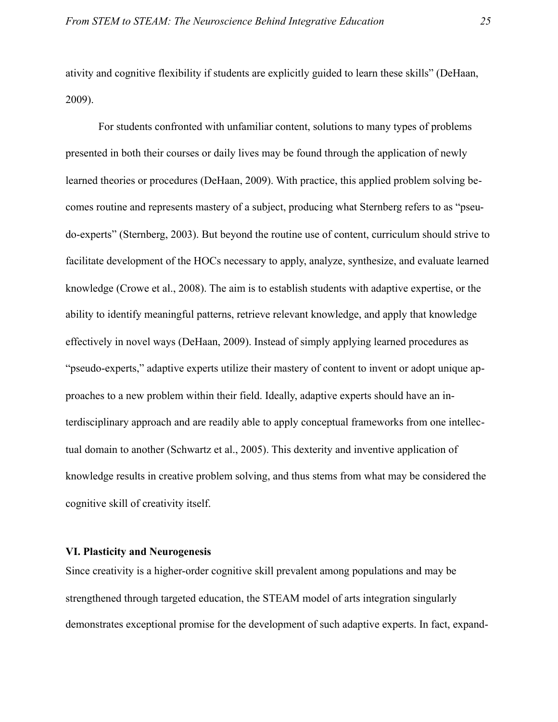ativity and cognitive flexibility if students are explicitly guided to learn these skills" (DeHaan, 2009).

For students confronted with unfamiliar content, solutions to many types of problems presented in both their courses or daily lives may be found through the application of newly learned theories or procedures (DeHaan, 2009). With practice, this applied problem solving becomes routine and represents mastery of a subject, producing what Sternberg refers to as "pseudo-experts" (Sternberg, 2003). But beyond the routine use of content, curriculum should strive to facilitate development of the HOCs necessary to apply, analyze, synthesize, and evaluate learned knowledge (Crowe et al., 2008). The aim is to establish students with adaptive expertise, or the ability to identify meaningful patterns, retrieve relevant knowledge, and apply that knowledge effectively in novel ways (DeHaan, 2009). Instead of simply applying learned procedures as "pseudo-experts," adaptive experts utilize their mastery of content to invent or adopt unique approaches to a new problem within their field. Ideally, adaptive experts should have an interdisciplinary approach and are readily able to apply conceptual frameworks from one intellectual domain to another (Schwartz et al., 2005). This dexterity and inventive application of knowledge results in creative problem solving, and thus stems from what may be considered the cognitive skill of creativity itself.

# <span id="page-25-0"></span>**VI. Plasticity and Neurogenesis**

Since creativity is a higher-order cognitive skill prevalent among populations and may be strengthened through targeted education, the STEAM model of arts integration singularly demonstrates exceptional promise for the development of such adaptive experts. In fact, expand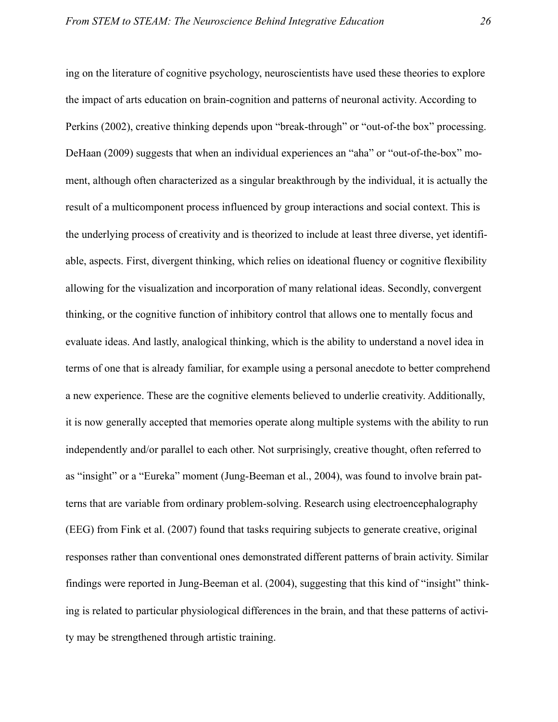ing on the literature of cognitive psychology, neuroscientists have used these theories to explore the impact of arts education on brain-cognition and patterns of neuronal activity. According to Perkins (2002), creative thinking depends upon "break-through" or "out-of-the box" processing. DeHaan (2009) suggests that when an individual experiences an "aha" or "out-of-the-box" moment, although often characterized as a singular breakthrough by the individual, it is actually the result of a multicomponent process influenced by group interactions and social context. This is the underlying process of creativity and is theorized to include at least three diverse, yet identifiable, aspects. First, divergent thinking, which relies on ideational fluency or cognitive flexibility allowing for the visualization and incorporation of many relational ideas. Secondly, convergent thinking, or the cognitive function of inhibitory control that allows one to mentally focus and evaluate ideas. And lastly, analogical thinking, which is the ability to understand a novel idea in terms of one that is already familiar, for example using a personal anecdote to better comprehend a new experience. These are the cognitive elements believed to underlie creativity. Additionally, it is now generally accepted that memories operate along multiple systems with the ability to run independently and/or parallel to each other. Not surprisingly, creative thought, often referred to as "insight" or a "Eureka" moment (Jung-Beeman et al., 2004), was found to involve brain patterns that are variable from ordinary problem-solving. Research using electroencephalography (EEG) from Fink et al. (2007) found that tasks requiring subjects to generate creative, original responses rather than conventional ones demonstrated different patterns of brain activity. Similar findings were reported in Jung-Beeman et al. (2004), suggesting that this kind of "insight" thinking is related to particular physiological differences in the brain, and that these patterns of activity may be strengthened through artistic training.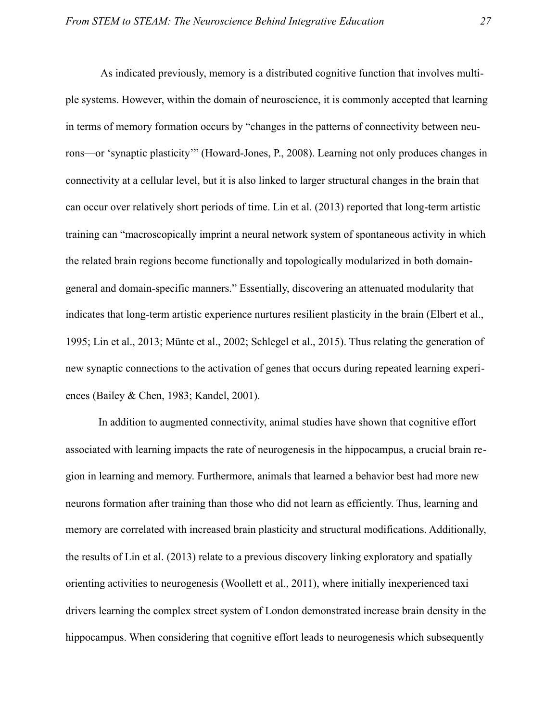As indicated previously, memory is a distributed cognitive function that involves multiple systems. However, within the domain of neuroscience, it is commonly accepted that learning in terms of memory formation occurs by "changes in the patterns of connectivity between neurons—or 'synaptic plasticity'" (Howard-Jones, P., 2008). Learning not only produces changes in connectivity at a cellular level, but it is also linked to larger structural changes in the brain that can occur over relatively short periods of time. Lin et al. (2013) reported that long-term artistic training can "macroscopically imprint a neural network system of spontaneous activity in which the related brain regions become functionally and topologically modularized in both domaingeneral and domain-specific manners." Essentially, discovering an attenuated modularity that indicates that long-term artistic experience nurtures resilient plasticity in the brain (Elbert et al., 1995; Lin et al., 2013; Münte et al., 2002; Schlegel et al., 2015). Thus relating the generation of new synaptic connections to the activation of genes that occurs during repeated learning experiences (Bailey & Chen, 1983; Kandel, 2001).

In addition to augmented connectivity, animal studies have shown that cognitive effort associated with learning impacts the rate of neurogenesis in the hippocampus, a crucial brain region in learning and memory. Furthermore, animals that learned a behavior best had more new neurons formation after training than those who did not learn as efficiently. Thus, learning and memory are correlated with increased brain plasticity and structural modifications. Additionally, the results of Lin et al. (2013) relate to a previous discovery linking exploratory and spatially orienting activities to neurogenesis (Woollett et al., 2011), where initially inexperienced taxi drivers learning the complex street system of London demonstrated increase brain density in the hippocampus. When considering that cognitive effort leads to neurogenesis which subsequently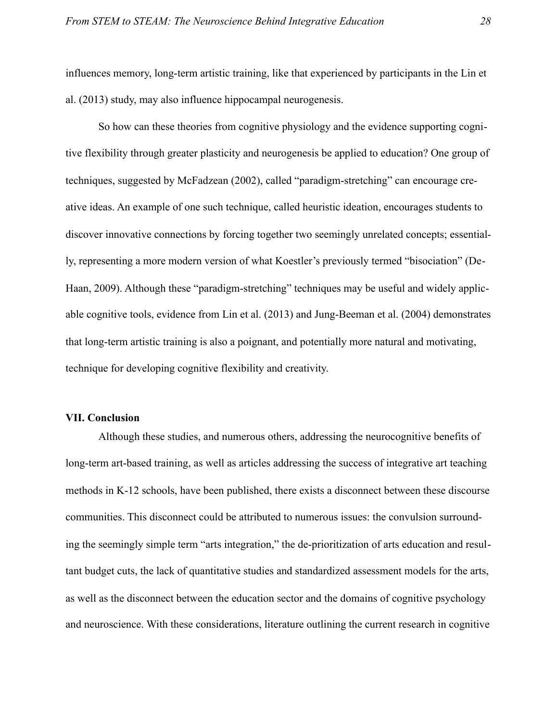influences memory, long-term artistic training, like that experienced by participants in the Lin et al. (2013) study, may also influence hippocampal neurogenesis.

 So how can these theories from cognitive physiology and the evidence supporting cognitive flexibility through greater plasticity and neurogenesis be applied to education? One group of techniques, suggested by McFadzean (2002), called "paradigm-stretching" can encourage creative ideas. An example of one such technique, called heuristic ideation, encourages students to discover innovative connections by forcing together two seemingly unrelated concepts; essentially, representing a more modern version of what Koestler's previously termed "bisociation" (De-Haan, 2009). Although these "paradigm-stretching" techniques may be useful and widely applicable cognitive tools, evidence from Lin et al. (2013) and Jung-Beeman et al. (2004) demonstrates that long-term artistic training is also a poignant, and potentially more natural and motivating, technique for developing cognitive flexibility and creativity.

# <span id="page-28-0"></span>**VII. Conclusion**

 Although these studies, and numerous others, addressing the neurocognitive benefits of long-term art-based training, as well as articles addressing the success of integrative art teaching methods in K-12 schools, have been published, there exists a disconnect between these discourse communities. This disconnect could be attributed to numerous issues: the convulsion surrounding the seemingly simple term "arts integration," the de-prioritization of arts education and resultant budget cuts, the lack of quantitative studies and standardized assessment models for the arts, as well as the disconnect between the education sector and the domains of cognitive psychology and neuroscience. With these considerations, literature outlining the current research in cognitive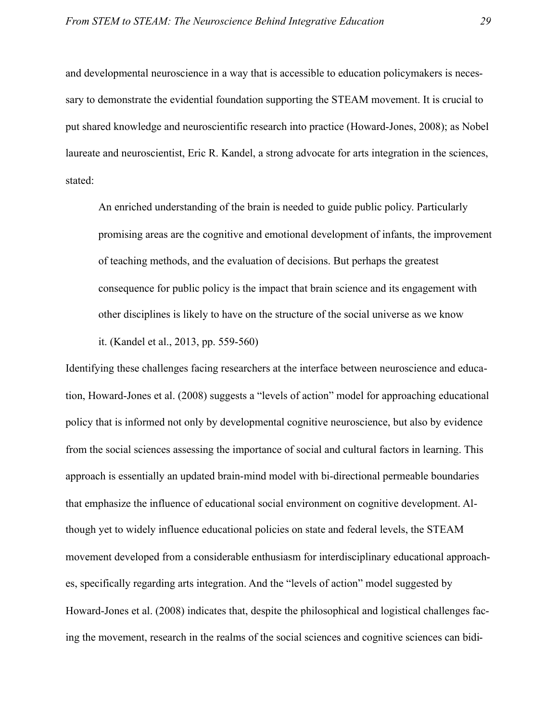and developmental neuroscience in a way that is accessible to education policymakers is necessary to demonstrate the evidential foundation supporting the STEAM movement. It is crucial to put shared knowledge and neuroscientific research into practice (Howard-Jones, 2008); as Nobel laureate and neuroscientist, Eric R. Kandel, a strong advocate for arts integration in the sciences, stated:

 An enriched understanding of the brain is needed to guide public policy. Particularly promising areas are the cognitive and emotional development of infants, the improvement of teaching methods, and the evaluation of decisions. But perhaps the greatest consequence for public policy is the impact that brain science and its engagement with other disciplines is likely to have on the structure of the social universe as we know it. (Kandel et al., 2013, pp. 559-560)

Identifying these challenges facing researchers at the interface between neuroscience and education, Howard-Jones et al. (2008) suggests a "levels of action" model for approaching educational policy that is informed not only by developmental cognitive neuroscience, but also by evidence from the social sciences assessing the importance of social and cultural factors in learning. This approach is essentially an updated brain-mind model with bi-directional permeable boundaries that emphasize the influence of educational social environment on cognitive development. Although yet to widely influence educational policies on state and federal levels, the STEAM movement developed from a considerable enthusiasm for interdisciplinary educational approaches, specifically regarding arts integration. And the "levels of action" model suggested by Howard-Jones et al. (2008) indicates that, despite the philosophical and logistical challenges facing the movement, research in the realms of the social sciences and cognitive sciences can bidi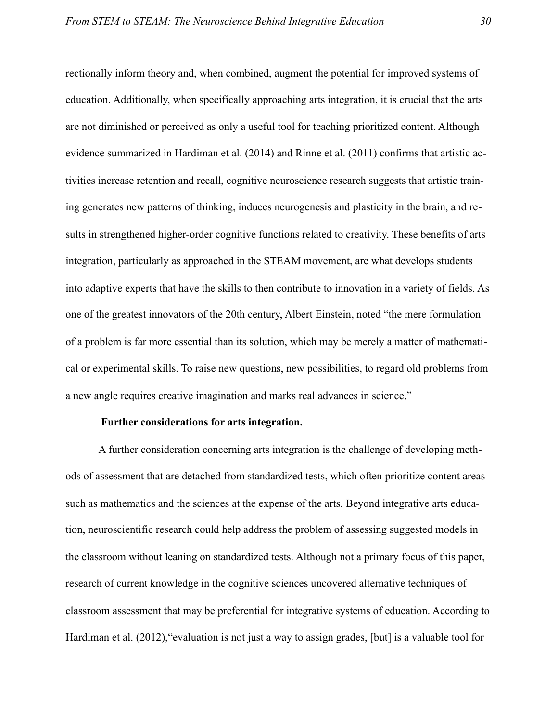rectionally inform theory and, when combined, augment the potential for improved systems of education. Additionally, when specifically approaching arts integration, it is crucial that the arts are not diminished or perceived as only a useful tool for teaching prioritized content. Although evidence summarized in Hardiman et al. (2014) and Rinne et al. (2011) confirms that artistic activities increase retention and recall, cognitive neuroscience research suggests that artistic training generates new patterns of thinking, induces neurogenesis and plasticity in the brain, and results in strengthened higher-order cognitive functions related to creativity. These benefits of arts integration, particularly as approached in the STEAM movement, are what develops students into adaptive experts that have the skills to then contribute to innovation in a variety of fields. As one of the greatest innovators of the 20th century, Albert Einstein, noted "the mere formulation of a problem is far more essential than its solution, which may be merely a matter of mathematical or experimental skills. To raise new questions, new possibilities, to regard old problems from a new angle requires creative imagination and marks real advances in science."

# <span id="page-30-0"></span> **Further considerations for arts integration.**

A further consideration concerning arts integration is the challenge of developing methods of assessment that are detached from standardized tests, which often prioritize content areas such as mathematics and the sciences at the expense of the arts. Beyond integrative arts education, neuroscientific research could help address the problem of assessing suggested models in the classroom without leaning on standardized tests. Although not a primary focus of this paper, research of current knowledge in the cognitive sciences uncovered alternative techniques of classroom assessment that may be preferential for integrative systems of education. According to Hardiman et al. (2012),"evaluation is not just a way to assign grades, [but] is a valuable tool for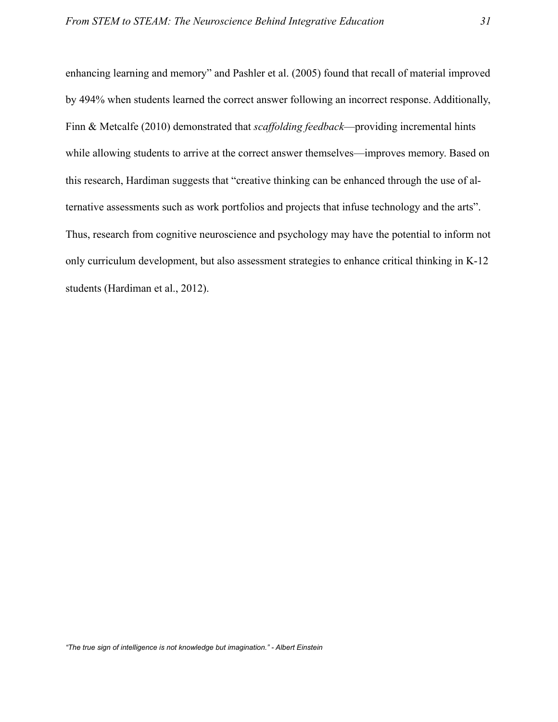enhancing learning and memory" and Pashler et al. (2005) found that recall of material improved by 494% when students learned the correct answer following an incorrect response. Additionally, Finn & Metcalfe (2010) demonstrated that *scaffolding feedback*—providing incremental hints while allowing students to arrive at the correct answer themselves—improves memory. Based on this research, Hardiman suggests that "creative thinking can be enhanced through the use of alternative assessments such as work portfolios and projects that infuse technology and the arts". Thus, research from cognitive neuroscience and psychology may have the potential to inform not only curriculum development, but also assessment strategies to enhance critical thinking in K-12 students (Hardiman et al., 2012).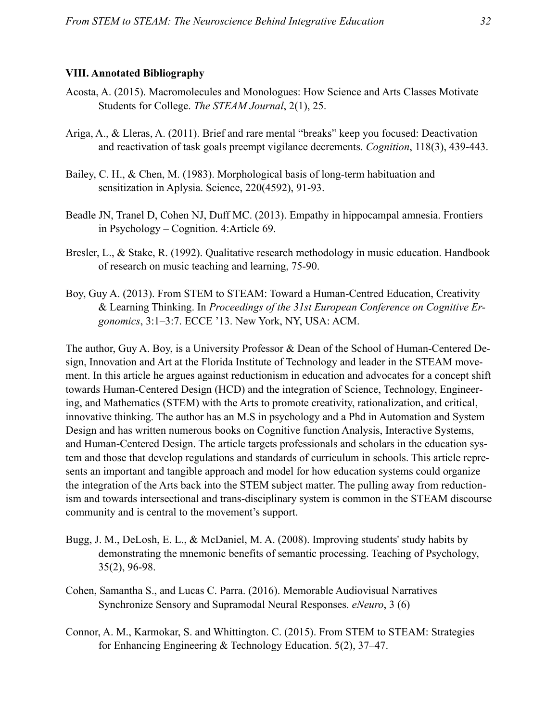# <span id="page-32-0"></span>**VIII. Annotated Bibliography**

- Acosta, A. (2015). Macromolecules and Monologues: How Science and Arts Classes Motivate Students for College. *The STEAM Journal*, 2(1), 25.
- Ariga, A., & Lleras, A. (2011). Brief and rare mental "breaks" keep you focused: Deactivation and reactivation of task goals preempt vigilance decrements. *Cognition*, 118(3), 439-443.
- Bailey, C. H., & Chen, M. (1983). Morphological basis of long-term habituation and sensitization in Aplysia. Science, 220(4592), 91-93.
- Beadle JN, Tranel D, Cohen NJ, Duff MC. (2013). Empathy in hippocampal amnesia. Frontiers in Psychology – Cognition. 4:Article 69.
- Bresler, L., & Stake, R. (1992). Qualitative research methodology in music education. Handbook of research on music teaching and learning, 75-90.
- Boy, Guy A. (2013). From STEM to STEAM: Toward a Human-Centred Education, Creativity & Learning Thinking. In *Proceedings of the 31st European Conference on Cognitive Ergonomics*, 3:1–3:7. ECCE '13. New York, NY, USA: ACM.

The author, Guy A. Boy, is a University Professor & Dean of the School of Human-Centered Design, Innovation and Art at the Florida Institute of Technology and leader in the STEAM movement. In this article he argues against reductionism in education and advocates for a concept shift towards Human-Centered Design (HCD) and the integration of Science, Technology, Engineering, and Mathematics (STEM) with the Arts to promote creativity, rationalization, and critical, innovative thinking. The author has an M.S in psychology and a Phd in Automation and System Design and has written numerous books on Cognitive function Analysis, Interactive Systems, and Human-Centered Design. The article targets professionals and scholars in the education system and those that develop regulations and standards of curriculum in schools. This article represents an important and tangible approach and model for how education systems could organize the integration of the Arts back into the STEM subject matter. The pulling away from reductionism and towards intersectional and trans-disciplinary system is common in the STEAM discourse community and is central to the movement's support.

- Bugg, J. M., DeLosh, E. L., & McDaniel, M. A. (2008). Improving students' study habits by demonstrating the mnemonic benefits of semantic processing. Teaching of Psychology, 35(2), 96-98.
- Cohen, Samantha S., and Lucas C. Parra. (2016). Memorable Audiovisual Narratives Synchronize Sensory and Supramodal Neural Responses. *eNeuro*, 3 (6)
- Connor, A. M., Karmokar, S. and Whittington. C. (2015). From STEM to STEAM: Strategies for Enhancing Engineering & Technology Education. 5(2), 37–47.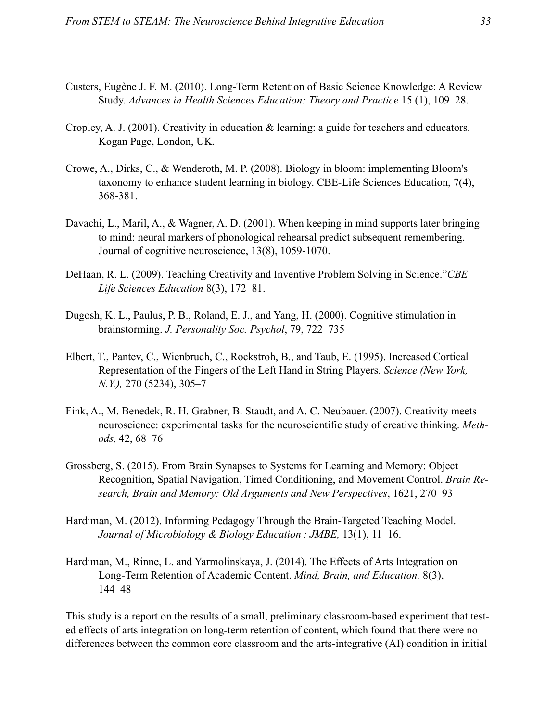- Custers, Eugène J. F. M. (2010). Long-Term Retention of Basic Science Knowledge: A Review Study. *Advances in Health Sciences Education: Theory and Practice* 15 (1), 109–28.
- Cropley, A. J. (2001). Creativity in education & learning: a guide for teachers and educators. Kogan Page, London, UK.
- Crowe, A., Dirks, C., & Wenderoth, M. P. (2008). Biology in bloom: implementing Bloom's taxonomy to enhance student learning in biology. CBE-Life Sciences Education, 7(4), 368-381.
- Davachi, L., Maril, A., & Wagner, A. D. (2001). When keeping in mind supports later bringing to mind: neural markers of phonological rehearsal predict subsequent remembering. Journal of cognitive neuroscience, 13(8), 1059-1070.
- DeHaan, R. L. (2009). Teaching Creativity and Inventive Problem Solving in Science."*CBE Life Sciences Education* 8(3), 172–81.
- Dugosh, K. L., Paulus, P. B., Roland, E. J., and Yang, H. (2000). Cognitive stimulation in brainstorming. *J. Personality Soc. Psychol*, 79, 722–735
- Elbert, T., Pantev, C., Wienbruch, C., Rockstroh, B., and Taub, E. (1995). Increased Cortical Representation of the Fingers of the Left Hand in String Players. *Science (New York, N.Y.),* 270 (5234), 305–7
- Fink, A., M. Benedek, R. H. Grabner, B. Staudt, and A. C. Neubauer. (2007). Creativity meets neuroscience: experimental tasks for the neuroscientific study of creative thinking. *Methods,* 42, 68–76
- Grossberg, S. (2015). From Brain Synapses to Systems for Learning and Memory: Object Recognition, Spatial Navigation, Timed Conditioning, and Movement Control. *Brain Research, Brain and Memory: Old Arguments and New Perspectives*, 1621, 270–93
- Hardiman, M. (2012). Informing Pedagogy Through the Brain-Targeted Teaching Model. *Journal of Microbiology & Biology Education : JMBE,* 13(1), 11–16.
- Hardiman, M., Rinne, L. and Yarmolinskaya, J. (2014). The Effects of Arts Integration on Long-Term Retention of Academic Content. *Mind, Brain, and Education,* 8(3), 144–48

This study is a report on the results of a small, preliminary classroom-based experiment that tested effects of arts integration on long-term retention of content, which found that there were no differences between the common core classroom and the arts-integrative (AI) condition in initial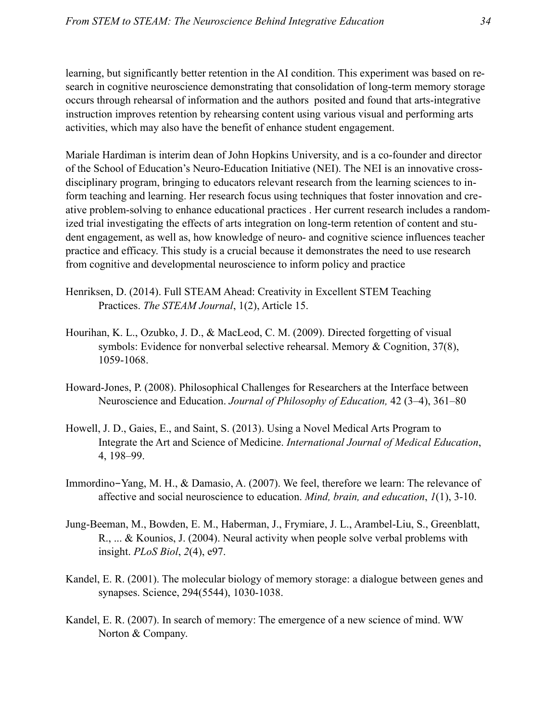learning, but significantly better retention in the AI condition. This experiment was based on research in cognitive neuroscience demonstrating that consolidation of long-term memory storage occurs through rehearsal of information and the authors posited and found that arts-integrative instruction improves retention by rehearsing content using various visual and performing arts activities, which may also have the benefit of enhance student engagement.

Mariale Hardiman is interim dean of John Hopkins University, and is a co-founder and director of the School of Education's Neuro-Education Initiative (NEI). The NEI is an innovative crossdisciplinary program, bringing to educators relevant research from the learning sciences to inform teaching and learning. Her research focus using techniques that foster innovation and creative problem-solving to enhance educational practices . Her current research includes a randomized trial investigating the effects of arts integration on long-term retention of content and student engagement, as well as, how knowledge of neuro- and cognitive science influences teacher practice and efficacy. This study is a crucial because it demonstrates the need to use research from cognitive and developmental neuroscience to inform policy and practice

- Henriksen, D. (2014). Full STEAM Ahead: Creativity in Excellent STEM Teaching Practices. *The STEAM Journal*, 1(2), Article 15.
- Hourihan, K. L., Ozubko, J. D., & MacLeod, C. M. (2009). Directed forgetting of visual symbols: Evidence for nonverbal selective rehearsal. Memory & Cognition, 37(8), 1059-1068.
- Howard-Jones, P. (2008). Philosophical Challenges for Researchers at the Interface between Neuroscience and Education. *Journal of Philosophy of Education,* 42 (3–4), 361–80
- Howell, J. D., Gaies, E., and Saint, S. (2013). Using a Novel Medical Arts Program to Integrate the Art and Science of Medicine. *International Journal of Medical Education*, 4, 198–99.
- Immordino-Yang, M. H., & Damasio, A. (2007). We feel, therefore we learn: The relevance of affective and social neuroscience to education. *Mind, brain, and education*, *1*(1), 3-10.
- Jung-Beeman, M., Bowden, E. M., Haberman, J., Frymiare, J. L., Arambel-Liu, S., Greenblatt, R., ... & Kounios, J. (2004). Neural activity when people solve verbal problems with insight. *PLoS Biol*, *2*(4), e97.
- Kandel, E. R. (2001). The molecular biology of memory storage: a dialogue between genes and synapses. Science, 294(5544), 1030-1038.
- Kandel, E. R. (2007). In search of memory: The emergence of a new science of mind. WW Norton & Company.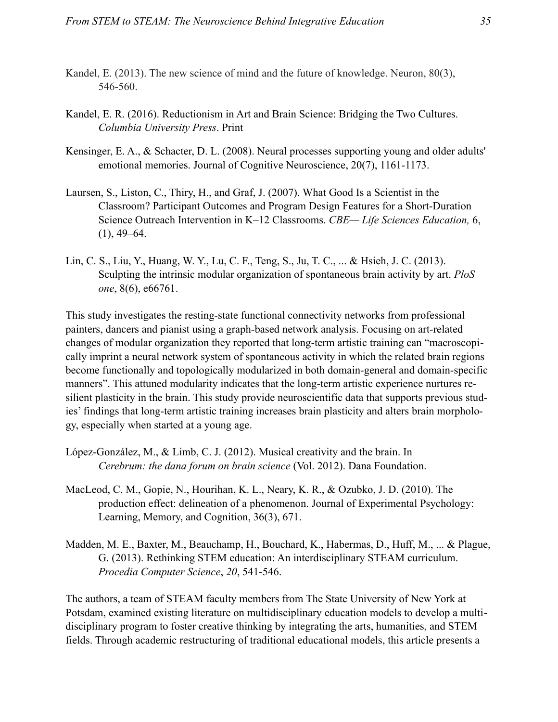- Kandel, E. (2013). The new science of mind and the future of knowledge. Neuron, 80(3), 546-560.
- Kandel, E. R. (2016). Reductionism in Art and Brain Science: Bridging the Two Cultures. *Columbia University Press*. Print
- Kensinger, E. A., & Schacter, D. L. (2008). Neural processes supporting young and older adults' emotional memories. Journal of Cognitive Neuroscience, 20(7), 1161-1173.
- Laursen, S., Liston, C., Thiry, H., and Graf, J. (2007). What Good Is a Scientist in the Classroom? Participant Outcomes and Program Design Features for a Short-Duration Science Outreach Intervention in K–12 Classrooms. *CBE— Life Sciences Education,* 6,  $(1), 49-64.$
- Lin, C. S., Liu, Y., Huang, W. Y., Lu, C. F., Teng, S., Ju, T. C., ... & Hsieh, J. C. (2013). Sculpting the intrinsic modular organization of spontaneous brain activity by art. *PloS one*, 8(6), e66761.

This study investigates the resting-state functional connectivity networks from professional painters, dancers and pianist using a graph-based network analysis. Focusing on art-related changes of modular organization they reported that long-term artistic training can "macroscopically imprint a neural network system of spontaneous activity in which the related brain regions become functionally and topologically modularized in both domain-general and domain-specific manners". This attuned modularity indicates that the long-term artistic experience nurtures resilient plasticity in the brain. This study provide neuroscientific data that supports previous studies' findings that long-term artistic training increases brain plasticity and alters brain morphology, especially when started at a young age.

- López-González, M., & Limb, C. J. (2012). Musical creativity and the brain. In *Cerebrum: the dana forum on brain science* (Vol. 2012). Dana Foundation.
- MacLeod, C. M., Gopie, N., Hourihan, K. L., Neary, K. R., & Ozubko, J. D. (2010). The production effect: delineation of a phenomenon. Journal of Experimental Psychology: Learning, Memory, and Cognition, 36(3), 671.
- Madden, M. E., Baxter, M., Beauchamp, H., Bouchard, K., Habermas, D., Huff, M., ... & Plague, G. (2013). Rethinking STEM education: An interdisciplinary STEAM curriculum. *Procedia Computer Science*, *20*, 541-546.

The authors, a team of STEAM faculty members from The State University of New York at Potsdam, examined existing literature on multidisciplinary education models to develop a multidisciplinary program to foster creative thinking by integrating the arts, humanities, and STEM fields. Through academic restructuring of traditional educational models, this article presents a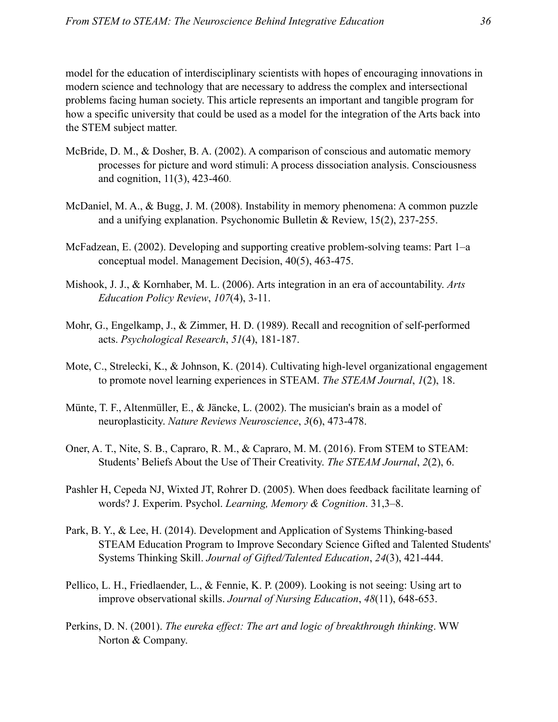model for the education of interdisciplinary scientists with hopes of encouraging innovations in modern science and technology that are necessary to address the complex and intersectional problems facing human society. This article represents an important and tangible program for how a specific university that could be used as a model for the integration of the Arts back into the STEM subject matter.

- McBride, D. M., & Dosher, B. A. (2002). A comparison of conscious and automatic memory processes for picture and word stimuli: A process dissociation analysis. Consciousness and cognition, 11(3), 423-460.
- McDaniel, M. A., & Bugg, J. M. (2008). Instability in memory phenomena: A common puzzle and a unifying explanation. Psychonomic Bulletin & Review, 15(2), 237-255.
- McFadzean, E. (2002). Developing and supporting creative problem-solving teams: Part 1–a conceptual model. Management Decision, 40(5), 463-475.
- Mishook, J. J., & Kornhaber, M. L. (2006). Arts integration in an era of accountability. *Arts Education Policy Review*, *107*(4), 3-11.
- Mohr, G., Engelkamp, J., & Zimmer, H. D. (1989). Recall and recognition of self-performed acts. *Psychological Research*, *51*(4), 181-187.
- Mote, C., Strelecki, K., & Johnson, K. (2014). Cultivating high-level organizational engagement to promote novel learning experiences in STEAM. *The STEAM Journal*, *1*(2), 18.
- Münte, T. F., Altenmüller, E., & Jäncke, L. (2002). The musician's brain as a model of neuroplasticity. *Nature Reviews Neuroscience*, *3*(6), 473-478.
- Oner, A. T., Nite, S. B., Capraro, R. M., & Capraro, M. M. (2016). From STEM to STEAM: Students' Beliefs About the Use of Their Creativity. *The STEAM Journal*, *2*(2), 6.
- Pashler H, Cepeda NJ, Wixted JT, Rohrer D. (2005). When does feedback facilitate learning of words? J. Experim. Psychol. *Learning, Memory & Cognition*. 31,3–8.
- Park, B. Y., & Lee, H. (2014). Development and Application of Systems Thinking-based STEAM Education Program to Improve Secondary Science Gifted and Talented Students' Systems Thinking Skill. *Journal of Gifted/Talented Education*, *24*(3), 421-444.
- Pellico, L. H., Friedlaender, L., & Fennie, K. P. (2009). Looking is not seeing: Using art to improve observational skills. *Journal of Nursing Education*, *48*(11), 648-653.
- Perkins, D. N. (2001). *The eureka effect: The art and logic of breakthrough thinking*. WW Norton & Company.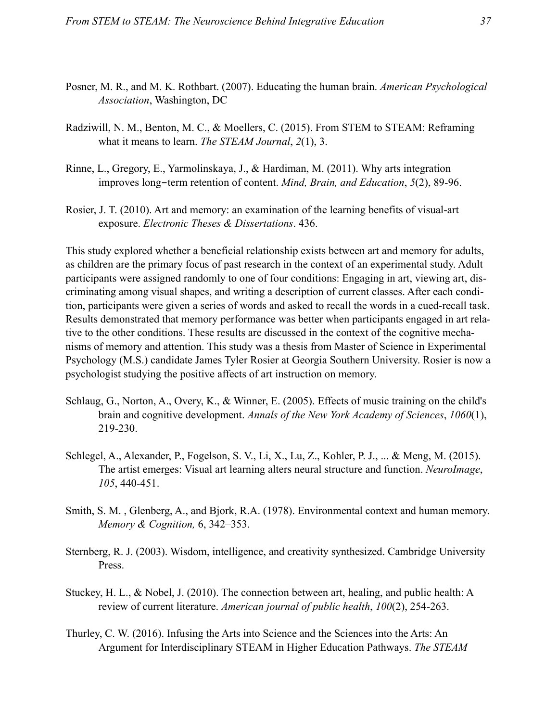- Posner, M. R., and M. K. Rothbart. (2007). Educating the human brain. *American Psychological Association*, Washington, DC
- Radziwill, N. M., Benton, M. C., & Moellers, C. (2015). From STEM to STEAM: Reframing what it means to learn. *The STEAM Journal*, *2*(1), 3.
- Rinne, L., Gregory, E., Yarmolinskaya, J., & Hardiman, M. (2011). Why arts integration improves long-term retention of content. *Mind, Brain, and Education*, *5*(2), 89-96.
- Rosier, J. T. (2010). Art and memory: an examination of the learning benefits of visual-art exposure. *Electronic Theses & Dissertations*. 436.

This study explored whether a beneficial relationship exists between art and memory for adults, as children are the primary focus of past research in the context of an experimental study. Adult participants were assigned randomly to one of four conditions: Engaging in art, viewing art, discriminating among visual shapes, and writing a description of current classes. After each condition, participants were given a series of words and asked to recall the words in a cued-recall task. Results demonstrated that memory performance was better when participants engaged in art relative to the other conditions. These results are discussed in the context of the cognitive mechanisms of memory and attention. This study was a thesis from Master of Science in Experimental Psychology (M.S.) candidate James Tyler Rosier at Georgia Southern University. Rosier is now a psychologist studying the positive affects of art instruction on memory.

- Schlaug, G., Norton, A., Overy, K., & Winner, E. (2005). Effects of music training on the child's brain and cognitive development. *Annals of the New York Academy of Sciences*, *1060*(1), 219-230.
- Schlegel, A., Alexander, P., Fogelson, S. V., Li, X., Lu, Z., Kohler, P. J., ... & Meng, M. (2015). The artist emerges: Visual art learning alters neural structure and function. *NeuroImage*, *105*, 440-451.
- Smith, S. M. , Glenberg, A., and Bjork, R.A. (1978). Environmental context and human memory. *Memory & Cognition,* 6, 342–353.
- Sternberg, R. J. (2003). Wisdom, intelligence, and creativity synthesized. Cambridge University Press.
- Stuckey, H. L., & Nobel, J. (2010). The connection between art, healing, and public health: A review of current literature. *American journal of public health*, *100*(2), 254-263.
- Thurley, C. W. (2016). Infusing the Arts into Science and the Sciences into the Arts: An Argument for Interdisciplinary STEAM in Higher Education Pathways. *The STEAM*